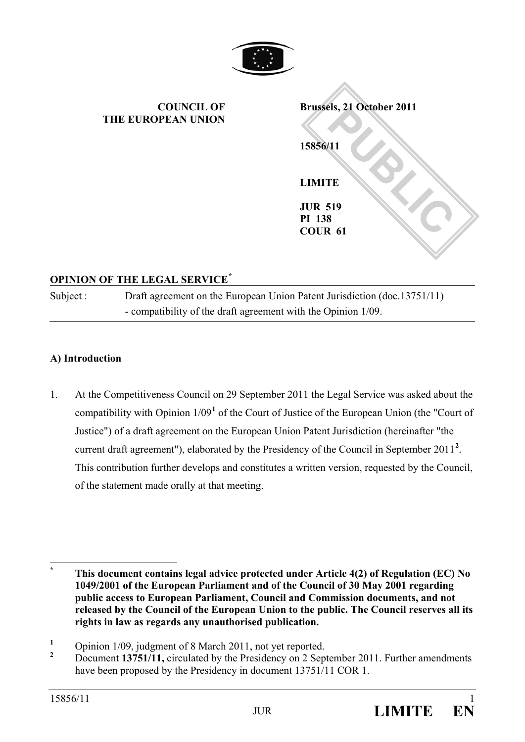

**PUBLIC 2011**<br> **PUBLIC**<br> **PUBLIC**<br> **PUBLIC**<br> **PUBLIC**<br> **PUBLIC**<br> **PUBLIC COUNCIL OF THE EUROPEAN UNION Brussels, 21 October 2011 15856/11 LIMITE JUR 519 PI 138 COUR 61**

## **OPINION OF THE LEGAL SERVICE[\\*](#page-0-0)**

Subject : Draft agreement on the European Union Patent Jurisdiction (doc.13751/11) - compatibility of the draft agreement with the Opinion 1/09.

#### **A) Introduction**

1. At the Competitiveness Council on 29 September 2011 the Legal Service was asked about the compatibility with Opinion 1/09**[1](#page-0-1)** of the Court of Justice of the European Union (the "Court of Justice") of a draft agreement on the European Union Patent Jurisdiction (hereinafter "the current draft agreement"), elaborated by the Presidency of the Council in September [2](#page-0-2)011<sup>2</sup>. This contribution further develops and constitutes a written version, requested by the Council, of the statement made orally at that meeting.

<span id="page-0-0"></span>**\* This document contains legal advice protected under Article 4(2) of Regulation (EC) No 1049/2001 of the European Parliament and of the Council of 30 May 2001 regarding public access to European Parliament, Council and Commission documents, and not released by the Council of the European Union to the public. The Council reserves all its rights in law as regards any unauthorised publication.**

<span id="page-0-1"></span><sup>&</sup>lt;sup>1</sup> Opinion 1/09, judgment of 8 March 2011, not yet reported.

<span id="page-0-2"></span>**<sup>2</sup>** Document **13751/11,** circulated by the Presidency on 2 September 2011. Further amendments have been proposed by the Presidency in document 13751/11 COR 1.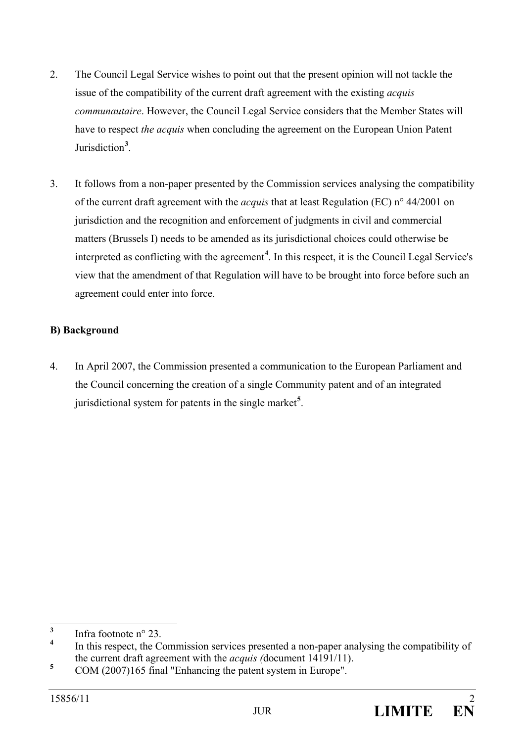- 2. The Council Legal Service wishes to point out that the present opinion will not tackle the issue of the compatibility of the current draft agreement with the existing *acquis communautaire*. However, the Council Legal Service considers that the Member States will have to respect *the acquis* when concluding the agreement on the European Union Patent Jurisdiction**[3](#page-1-0)** .
- 3. It follows from a non-paper presented by the Commission services analysing the compatibility of the current draft agreement with the *acquis* that at least Regulation (EC) n° 44/2001 on jurisdiction and the recognition and enforcement of judgments in civil and commercial matters (Brussels I) needs to be amended as its jurisdictional choices could otherwise be interpreted as conflicting with the agreement**[4](#page-1-1)** . In this respect, it is the Council Legal Service's view that the amendment of that Regulation will have to be brought into force before such an agreement could enter into force.

## **B) Background**

4. In April 2007, the Commission presented a communication to the European Parliament and the Council concerning the creation of a single Community patent and of an integrated jurisdictional system for patents in the single market**[5](#page-1-2)** .

<span id="page-1-0"></span> $\frac{3}{4}$  Infra footnote n° 23.

<span id="page-1-1"></span>**<sup>4</sup>** In this respect, the Commission services presented a non-paper analysing the compatibility of the current draft agreement with the *acquis (*document 14191/11).

<span id="page-1-2"></span><sup>&</sup>lt;sup>5</sup> COM (2007)165 final "Enhancing the patent system in Europe".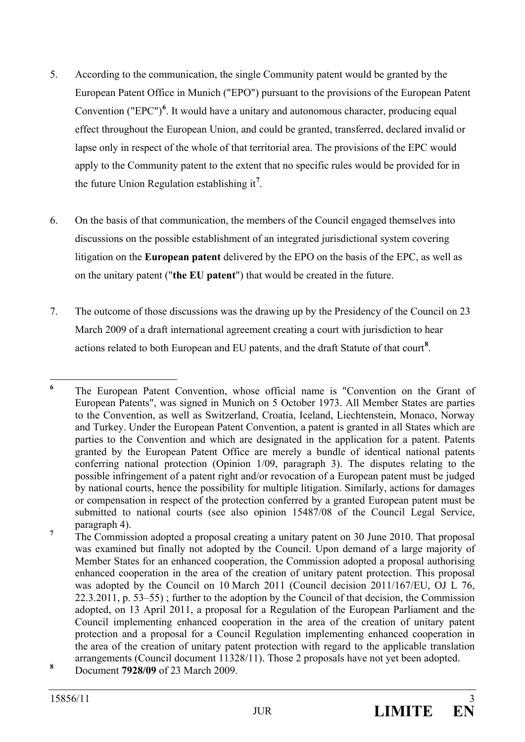- 5. According to the communication, the single Community patent would be granted by the European Patent Office in Munich ("EPO") pursuant to the provisions of the European Patent Convention ("EPC")<sup>[6](#page-2-0)</sup>. It would have a unitary and autonomous character, producing equal effect throughout the European Union, and could be granted, transferred, declared invalid or lapse only in respect of the whole of that territorial area. The provisions of the EPC would apply to the Community patent to the extent that no specific rules would be provided for in the future Union Regulation establishing it**[7](#page-2-1)** .
- 6. On the basis of that communication, the members of the Council engaged themselves into discussions on the possible establishment of an integrated jurisdictional system covering litigation on the **European patent** delivered by the EPO on the basis of the EPC, as well as on the unitary patent ("**the EU patent**") that would be created in the future.
- 7. The outcome of those discussions was the drawing up by the Presidency of the Council on 23 March 2009 of a draft international agreement creating a court with jurisdiction to hear actions related to both European and EU patents, and the draft Statute of that court**[8](#page-2-2)** .

<span id="page-2-0"></span><sup>&</sup>lt;sup>6</sup> The European Patent Convention, whose official name is "Convention on the Grant of European Patents", was signed in Munich on 5 October 1973. All Member States are parties to the Convention, as well as Switzerland, Croatia, Iceland, Liechtenstein, Monaco, Norway and Turkey. Under the European Patent Convention, a patent is granted in all States which are parties to the Convention and which are designated in the application for a patent. Patents granted by the European Patent Office are merely a bundle of identical national patents conferring national protection (Opinion 1/09, paragraph 3). The disputes relating to the possible infringement of a patent right and/or revocation of a European patent must be judged by national courts, hence the possibility for multiple litigation. Similarly, actions for damages or compensation in respect of the protection conferred by a granted European patent must be submitted to national courts (see also opinion 15487/08 of the Council Legal Service, paragraph 4).

<span id="page-2-1"></span><sup>&</sup>lt;sup>7</sup> The Commission adopted a proposal creating a unitary patent on 30 June 2010. That proposal was examined but finally not adopted by the Council. Upon demand of a large majority of Member States for an enhanced cooperation, the Commission adopted a proposal authorising enhanced cooperation in the area of the creation of unitary patent protection. This proposal was adopted by the Council on 10 March 2011 (Council decision 2011/167/EU, OJ L 76, 22.3.2011, p. 53–55) ; further to the adoption by the Council of that decision, the Commission adopted, on 13 April 2011, a proposal for a Regulation of the European Parliament and the Council implementing enhanced cooperation in the area of the creation of unitary patent protection and a proposal for a Council Regulation implementing enhanced cooperation in the area of the creation of unitary patent protection with regard to the applicable translation arrangements (Council document 11328/11). Those 2 proposals have not yet been adopted.

<span id="page-2-2"></span>**<sup>8</sup>** Document **7928/09** of 23 March 2009.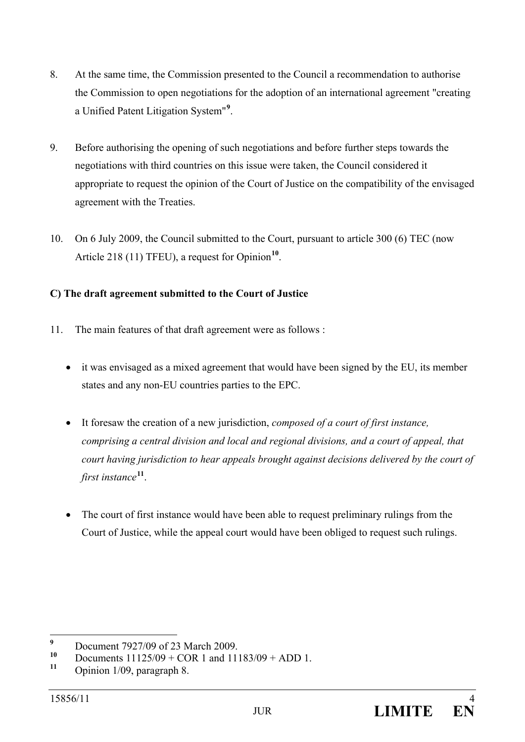- 8. At the same time, the Commission presented to the Council a recommendation to authorise the Commission to open negotiations for the adoption of an international agreement "creating a Unified Patent Litigation System"**[9](#page-3-0)** .
- 9. Before authorising the opening of such negotiations and before further steps towards the negotiations with third countries on this issue were taken, the Council considered it appropriate to request the opinion of the Court of Justice on the compatibility of the envisaged agreement with the Treaties.
- 10. On 6 July 2009, the Council submitted to the Court, pursuant to article 300 (6) TEC (now Article 218 (11) TFEU), a request for Opinion<sup>[10](#page-3-1)</sup>.

## **C) The draft agreement submitted to the Court of Justice**

- 11. The main features of that draft agreement were as follows :
	- it was envisaged as a mixed agreement that would have been signed by the EU, its member states and any non-EU countries parties to the EPC.
	- It foresaw the creation of a new jurisdiction, *composed of a court of first instance, comprising a central division and local and regional divisions, and a court of appeal, that court having jurisdiction to hear appeals brought against decisions delivered by the court of first instance***[11](#page-3-2)**.
	- The court of first instance would have been able to request preliminary rulings from the Court of Justice, while the appeal court would have been obliged to request such rulings.

<span id="page-3-0"></span><sup>&</sup>lt;sup>9</sup> Document 7927/09 of 23 March 2009.

<span id="page-3-1"></span>**<sup>10</sup>** Documents  $11125/09 + COR$  1 and  $11183/09 + ADD$  1.

<span id="page-3-2"></span>**<sup>11</sup>** Opinion 1/09, paragraph 8.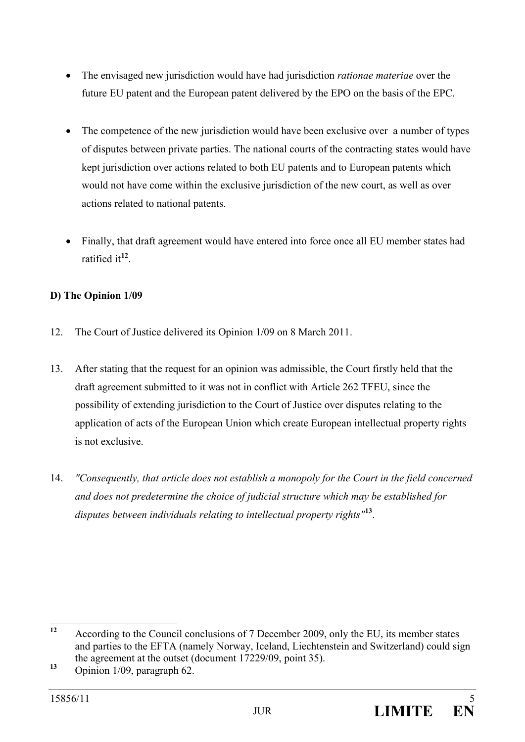- The envisaged new jurisdiction would have had jurisdiction *rationae materiae* over the future EU patent and the European patent delivered by the EPO on the basis of the EPC.
- The competence of the new jurisdiction would have been exclusive over a number of types of disputes between private parties. The national courts of the contracting states would have kept jurisdiction over actions related to both EU patents and to European patents which would not have come within the exclusive jurisdiction of the new court, as well as over actions related to national patents.
- Finally, that draft agreement would have entered into force once all EU member states had ratified it**[12](#page-4-0)**.

# **D) The Opinion 1/09**

- 12. The Court of Justice delivered its Opinion 1/09 on 8 March 2011.
- 13. After stating that the request for an opinion was admissible, the Court firstly held that the draft agreement submitted to it was not in conflict with Article 262 TFEU, since the possibility of extending jurisdiction to the Court of Justice over disputes relating to the application of acts of the European Union which create European intellectual property rights is not exclusive.
- 14. *"Consequently, that article does not establish a monopoly for the Court in the field concerned and does not predetermine the choice of judicial structure which may be established for disputes between individuals relating to intellectual property rights"* **[13](#page-4-1)**.

<span id="page-4-0"></span>**<sup>12</sup>** According to the Council conclusions of 7 December 2009, only the EU, its member states and parties to the EFTA (namely Norway, Iceland, Liechtenstein and Switzerland) could sign the agreement at the outset (document 17229/09, point 35).<br>Opinion 1/09, paragraph 62.

<span id="page-4-1"></span>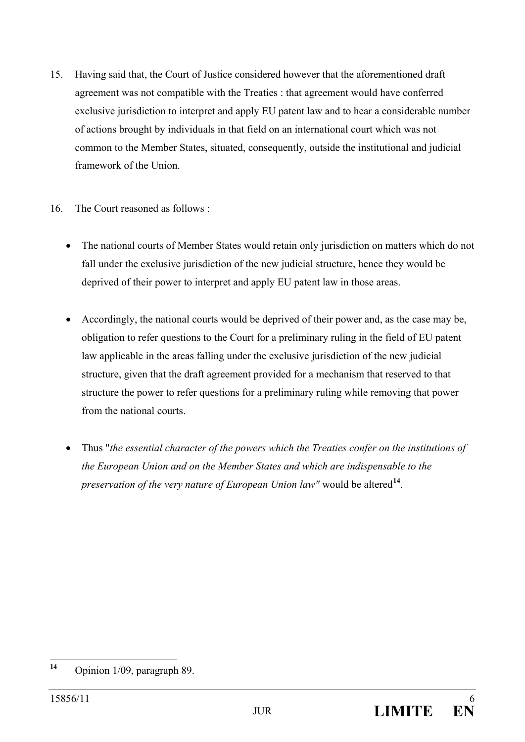- 15. Having said that, the Court of Justice considered however that the aforementioned draft agreement was not compatible with the Treaties : that agreement would have conferred exclusive jurisdiction to interpret and apply EU patent law and to hear a considerable number of actions brought by individuals in that field on an international court which was not common to the Member States, situated, consequently, outside the institutional and judicial framework of the Union.
- 16. The Court reasoned as follows :
	- The national courts of Member States would retain only jurisdiction on matters which do not fall under the exclusive jurisdiction of the new judicial structure, hence they would be deprived of their power to interpret and apply EU patent law in those areas.
	- Accordingly, the national courts would be deprived of their power and, as the case may be, obligation to refer questions to the Court for a preliminary ruling in the field of EU patent law applicable in the areas falling under the exclusive jurisdiction of the new judicial structure, given that the draft agreement provided for a mechanism that reserved to that structure the power to refer questions for a preliminary ruling while removing that power from the national courts.
	- Thus "*the essential character of the powers which the Treaties confer on the institutions of the European Union and on the Member States and which are indispensable to the preservation of the very nature of European Union law"* would be altered**[14](#page-5-0)**.

<span id="page-5-0"></span>**<sup>14</sup>** Opinion 1/09, paragraph 89.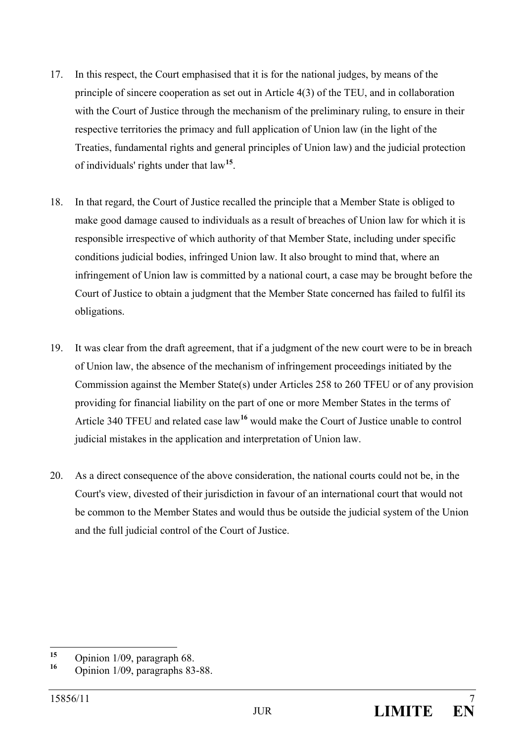- 17. In this respect, the Court emphasised that it is for the national judges, by means of the principle of sincere cooperation as set out in Article 4(3) of the TEU, and in collaboration with the Court of Justice through the mechanism of the preliminary ruling, to ensure in their respective territories the primacy and full application of Union law (in the light of the Treaties, fundamental rights and general principles of Union law) and the judicial protection of individuals' rights under that law**[15](#page-6-0)**.
- 18. In that regard, the Court of Justice recalled the principle that a Member State is obliged to make good damage caused to individuals as a result of breaches of Union law for which it is responsible irrespective of which authority of that Member State, including under specific conditions judicial bodies, infringed Union law. It also brought to mind that, where an infringement of Union law is committed by a national court, a case may be brought before the Court of Justice to obtain a judgment that the Member State concerned has failed to fulfil its obligations.
- 19. It was clear from the draft agreement, that if a judgment of the new court were to be in breach of Union law, the absence of the mechanism of infringement proceedings initiated by the Commission against the Member State(s) under Articles 258 to 260 TFEU or of any provision providing for financial liability on the part of one or more Member States in the terms of Article 340 TFEU and related case law**[16](#page-6-1)** would make the Court of Justice unable to control judicial mistakes in the application and interpretation of Union law.
- 20. As a direct consequence of the above consideration, the national courts could not be, in the Court's view, divested of their jurisdiction in favour of an international court that would not be common to the Member States and would thus be outside the judicial system of the Union and the full judicial control of the Court of Justice.

<span id="page-6-0"></span>**<sup>15</sup>** Opinion 1/09, paragraph 68.

<span id="page-6-1"></span>**<sup>16</sup>** Opinion 1/09, paragraphs 83-88.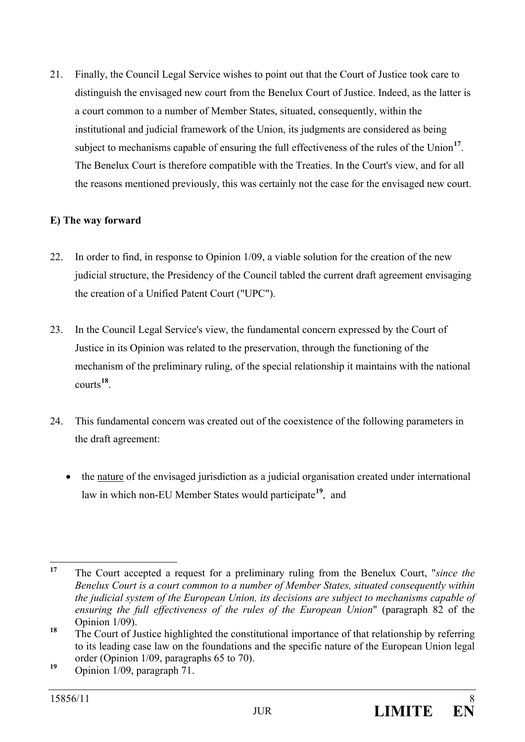21. Finally, the Council Legal Service wishes to point out that the Court of Justice took care to distinguish the envisaged new court from the Benelux Court of Justice. Indeed, as the latter is a court common to a number of Member States, situated, consequently, within the institutional and judicial framework of the Union, its judgments are considered as being subject to mechanisms capable of ensuring the full effectiveness of the rules of the Union<sup>[17](#page-7-0)</sup>. The Benelux Court is therefore compatible with the Treaties. In the Court's view, and for all the reasons mentioned previously, this was certainly not the case for the envisaged new court.

## **E) The way forward**

- 22. In order to find, in response to Opinion 1/09, a viable solution for the creation of the new judicial structure, the Presidency of the Council tabled the current draft agreement envisaging the creation of a Unified Patent Court ("UPC").
- 23. In the Council Legal Service's view, the fundamental concern expressed by the Court of Justice in its Opinion was related to the preservation, through the functioning of the mechanism of the preliminary ruling, of the special relationship it maintains with the national courts **[18](#page-7-1)**.
- 24. This fundamental concern was created out of the coexistence of the following parameters in the draft agreement:
	- the nature of the envisaged jurisdiction as a judicial organisation created under international law in which non-EU Member States would participate**[19](#page-7-2)**, and

<span id="page-7-0"></span>**<sup>17</sup>** The Court accepted a request for a preliminary ruling from the Benelux Court, "*since the Benelux Court is a court common to a number of Member States, situated consequently within the judicial system of the European Union, its decisions are subject to mechanisms capable of ensuring the full effectiveness of the rules of the European Union*" (paragraph 82 of the Opinion 1/09).

<span id="page-7-1"></span><sup>&</sup>lt;sup>18</sup> The Court of Justice highlighted the constitutional importance of that relationship by referring to its leading case law on the foundations and the specific nature of the European Union legal order (Opinion 1/09, paragraphs 65 to 70).<br><sup>19</sup> Opinion 1/09, paragraph 71.

<span id="page-7-2"></span>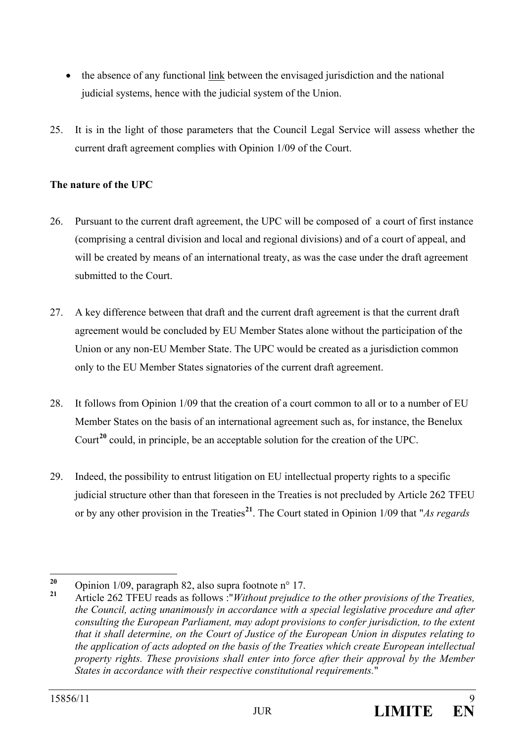- the absence of any functional link between the envisaged jurisdiction and the national judicial systems, hence with the judicial system of the Union.
- 25. It is in the light of those parameters that the Council Legal Service will assess whether the current draft agreement complies with Opinion 1/09 of the Court.

## **The nature of the UPC**

- 26. Pursuant to the current draft agreement, the UPC will be composed of a court of first instance (comprising a central division and local and regional divisions) and of a court of appeal, and will be created by means of an international treaty, as was the case under the draft agreement submitted to the Court.
- 27. A key difference between that draft and the current draft agreement is that the current draft agreement would be concluded by EU Member States alone without the participation of the Union or any non-EU Member State. The UPC would be created as a jurisdiction common only to the EU Member States signatories of the current draft agreement.
- 28. It follows from Opinion 1/09 that the creation of a court common to all or to a number of EU Member States on the basis of an international agreement such as, for instance, the Benelux Court**[20](#page-8-0)** could, in principle, be an acceptable solution for the creation of the UPC.
- 29. Indeed, the possibility to entrust litigation on EU intellectual property rights to a specific judicial structure other than that foreseen in the Treaties is not precluded by Article 262 TFEU or by any other provision in the Treaties**[21](#page-8-1)**. The Court stated in Opinion 1/09 that "*As regards*

<span id="page-8-1"></span><span id="page-8-0"></span>**<sup>20</sup>** Opinion 1/09, paragraph 82, also supra footnote n° 17. **<sup>21</sup>** Article 262 TFEU reads as follows :"*Without prejudice to the other provisions of the Treaties, the Council, acting unanimously in accordance with a special legislative procedure and after consulting the European Parliament, may adopt provisions to confer jurisdiction, to the extent that it shall determine, on the Court of Justice of the European Union in disputes relating to the application of acts adopted on the basis of the Treaties which create European intellectual property rights. These provisions shall enter into force after their approval by the Member States in accordance with their respective constitutional requirements.*"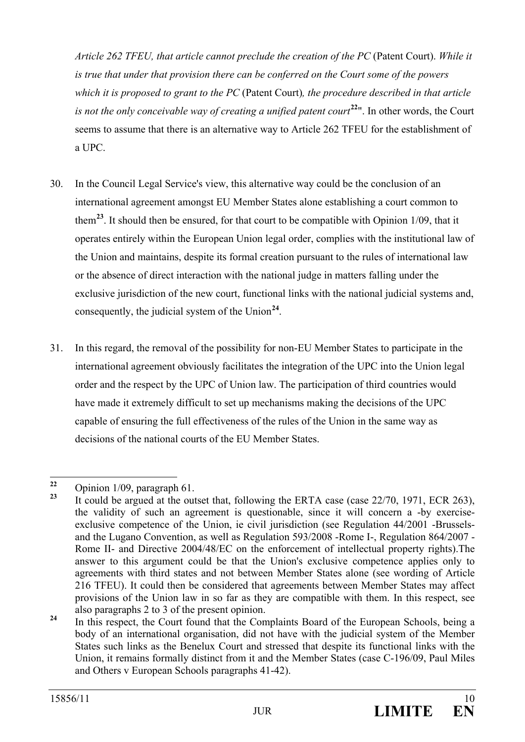*Article 262 TFEU, that article cannot preclude the creation of the PC* (Patent Court). *While it is true that under that provision there can be conferred on the Court some of the powers which it is proposed to grant to the PC* (Patent Court)*, the procedure described in that article is not the only conceivable way of creating a unified patent court*<sup>[22](#page-9-0)</sup>". In other words, the Court seems to assume that there is an alternative way to Article 262 TFEU for the establishment of a UPC.

- 30. In the Council Legal Service's view, this alternative way could be the conclusion of an international agreement amongst EU Member States alone establishing a court common to them**[23](#page-9-1)**. It should then be ensured, for that court to be compatible with Opinion 1/09, that it operates entirely within the European Union legal order, complies with the institutional law of the Union and maintains, despite its formal creation pursuant to the rules of international law or the absence of direct interaction with the national judge in matters falling under the exclusive jurisdiction of the new court, functional links with the national judicial systems and, consequently, the judicial system of the Union**[24](#page-9-2)**.
- 31. In this regard, the removal of the possibility for non-EU Member States to participate in the international agreement obviously facilitates the integration of the UPC into the Union legal order and the respect by the UPC of Union law. The participation of third countries would have made it extremely difficult to set up mechanisms making the decisions of the UPC capable of ensuring the full effectiveness of the rules of the Union in the same way as decisions of the national courts of the EU Member States.

<span id="page-9-1"></span><span id="page-9-0"></span>**<sup>22</sup>** Opinion 1/09, paragraph 61.

**<sup>23</sup>** It could be argued at the outset that, following the ERTA case (case 22/70, 1971, ECR 263), the validity of such an agreement is questionable, since it will concern a -by exerciseexclusive competence of the Union, ie civil jurisdiction (see Regulation 44/2001 -Brusselsand the Lugano Convention, as well as Regulation 593/2008 -Rome I-, Regulation 864/2007 - Rome II- and Directive 2004/48/EC on the enforcement of intellectual property rights).The answer to this argument could be that the Union's exclusive competence applies only to agreements with third states and not between Member States alone (see wording of Article 216 TFEU). It could then be considered that agreements between Member States may affect provisions of the Union law in so far as they are compatible with them. In this respect, see also paragraphs 2 to 3 of the present opinion.

<span id="page-9-2"></span><sup>&</sup>lt;sup>24</sup> In this respect, the Court found that the Complaints Board of the European Schools, being a body of an international organisation, did not have with the judicial system of the Member States such links as the Benelux Court and stressed that despite its functional links with the Union, it remains formally distinct from it and the Member States (case C-196/09, Paul Miles and Others v European Schools paragraphs 41-42).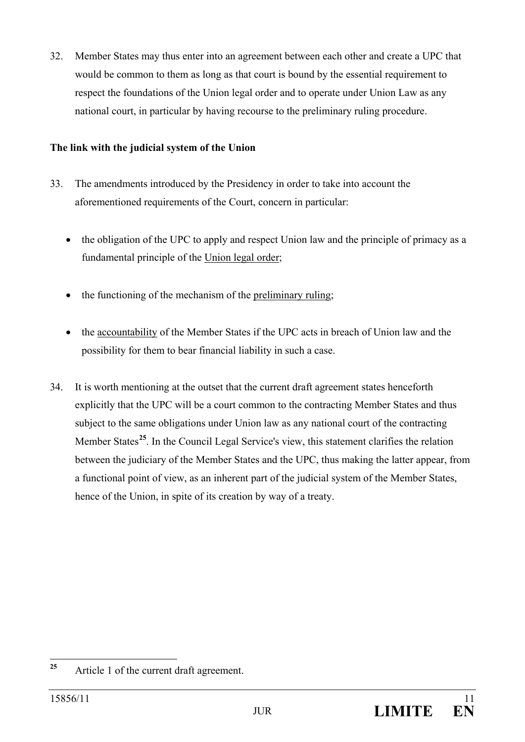32. Member States may thus enter into an agreement between each other and create a UPC that would be common to them as long as that court is bound by the essential requirement to respect the foundations of the Union legal order and to operate under Union Law as any national court, in particular by having recourse to the preliminary ruling procedure.

## **The link with the judicial system of the Union**

- 33. The amendments introduced by the Presidency in order to take into account the aforementioned requirements of the Court, concern in particular:
	- the obligation of the UPC to apply and respect Union law and the principle of primacy as a fundamental principle of the Union legal order;
	- the functioning of the mechanism of the preliminary ruling;
	- the accountability of the Member States if the UPC acts in breach of Union law and the possibility for them to bear financial liability in such a case.
- 34. It is worth mentioning at the outset that the current draft agreement states henceforth explicitly that the UPC will be a court common to the contracting Member States and thus subject to the same obligations under Union law as any national court of the contracting Member States**[25](#page-10-0)**. In the Council Legal Service's view, this statement clarifies the relation between the judiciary of the Member States and the UPC, thus making the latter appear, from a functional point of view, as an inherent part of the judicial system of the Member States, hence of the Union, in spite of its creation by way of a treaty.

<span id="page-10-0"></span>**<sup>25</sup>** Article 1 of the current draft agreement.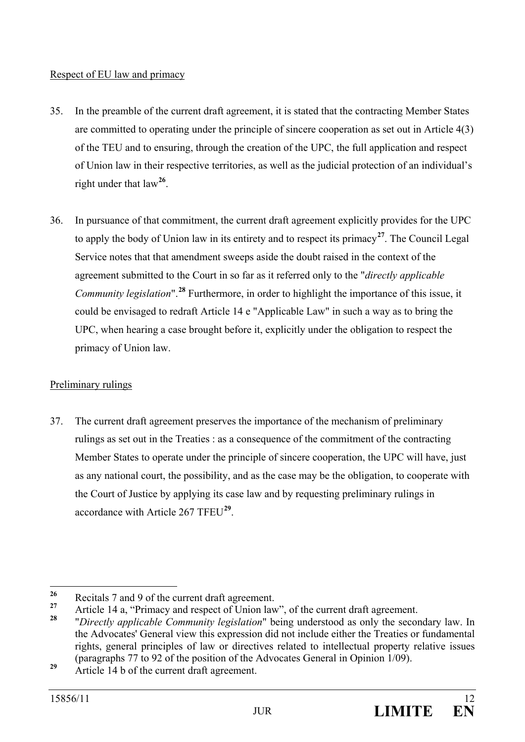## Respect of EU law and primacy

- 35. In the preamble of the current draft agreement, it is stated that the contracting Member States are committed to operating under the principle of sincere cooperation as set out in Article 4(3) of the TEU and to ensuring, through the creation of the UPC, the full application and respect of Union law in their respective territories, as well as the judicial protection of an individual's right under that law**[26](#page-11-0)**.
- 36. In pursuance of that commitment, the current draft agreement explicitly provides for the UPC to apply the body of Union law in its entirety and to respect its primacy**[27](#page-11-1)**. The Council Legal Service notes that that amendment sweeps aside the doubt raised in the context of the agreement submitted to the Court in so far as it referred only to the "*directly applicable Community legislation*".**[28](#page-11-2)** Furthermore, in order to highlight the importance of this issue, it could be envisaged to redraft Article 14 e "Applicable Law" in such a way as to bring the UPC, when hearing a case brought before it, explicitly under the obligation to respect the primacy of Union law.

# Preliminary rulings

37. The current draft agreement preserves the importance of the mechanism of preliminary rulings as set out in the Treaties : as a consequence of the commitment of the contracting Member States to operate under the principle of sincere cooperation, the UPC will have, just as any national court, the possibility, and as the case may be the obligation, to cooperate with the Court of Justice by applying its case law and by requesting preliminary rulings in accordance with Article 267 TFEU**[29](#page-11-3)**.

<span id="page-11-0"></span>**<sup>26</sup>** Recitals 7 and 9 of the current draft agreement.

<span id="page-11-1"></span><sup>&</sup>lt;sup>27</sup> Article 14 a, "Primacy and respect of Union law", of the current draft agreement.

<span id="page-11-2"></span>**<sup>28</sup>** "*Directly applicable Community legislation*" being understood as only the secondary law. In the Advocates' General view this expression did not include either the Treaties or fundamental rights, general principles of law or directives related to intellectual property relative issues (paragraphs 77 to 92 of the position of the Advocates General in Opinion 1/09).

<span id="page-11-3"></span><sup>&</sup>lt;sup>29</sup> Article 14 b of the current draft agreement.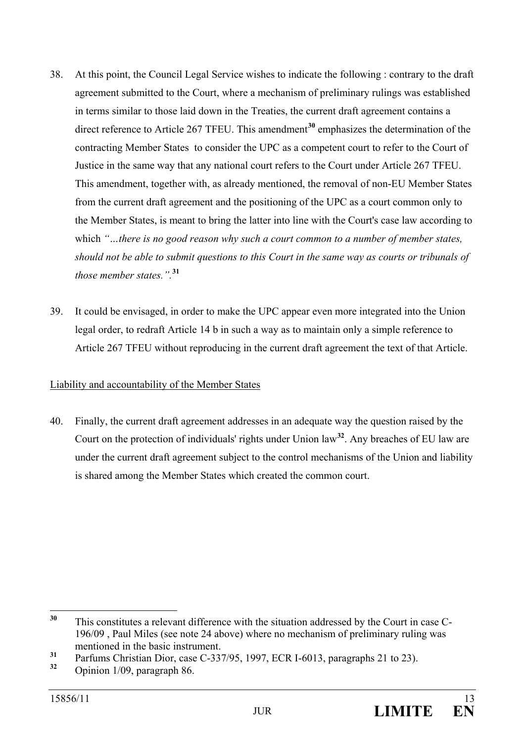- 38. At this point, the Council Legal Service wishes to indicate the following : contrary to the draft agreement submitted to the Court, where a mechanism of preliminary rulings was established in terms similar to those laid down in the Treaties, the current draft agreement contains a direct reference to Article 267 TFEU. This amendment<sup>[30](#page-12-0)</sup> emphasizes the determination of the contracting Member States to consider the UPC as a competent court to refer to the Court of Justice in the same way that any national court refers to the Court under Article 267 TFEU. This amendment, together with, as already mentioned, the removal of non-EU Member States from the current draft agreement and the positioning of the UPC as a court common only to the Member States, is meant to bring the latter into line with the Court's case law according to which *"…there is no good reason why such a court common to a number of member states, should not be able to submit questions to this Court in the same way as courts or tribunals of those member states.".***[31](#page-12-1)**
- 39. It could be envisaged, in order to make the UPC appear even more integrated into the Union legal order, to redraft Article 14 b in such a way as to maintain only a simple reference to Article 267 TFEU without reproducing in the current draft agreement the text of that Article.

## Liability and accountability of the Member States

40. Finally, the current draft agreement addresses in an adequate way the question raised by the Court on the protection of individuals' rights under Union law**[32](#page-12-2)**. Any breaches of EU law are under the current draft agreement subject to the control mechanisms of the Union and liability is shared among the Member States which created the common court.

<span id="page-12-0"></span>**<sup>30</sup>** This constitutes a relevant difference with the situation addressed by the Court in case C-196/09 , Paul Miles (see note 24 above) where no mechanism of preliminary ruling was mentioned in the basic instrument.

<span id="page-12-1"></span>**<sup>31</sup>** Parfums Christian Dior, case C-337/95, 1997, ECR I-6013, paragraphs 21 to 23).

<span id="page-12-2"></span>**<sup>32</sup>** Opinion 1/09, paragraph 86.